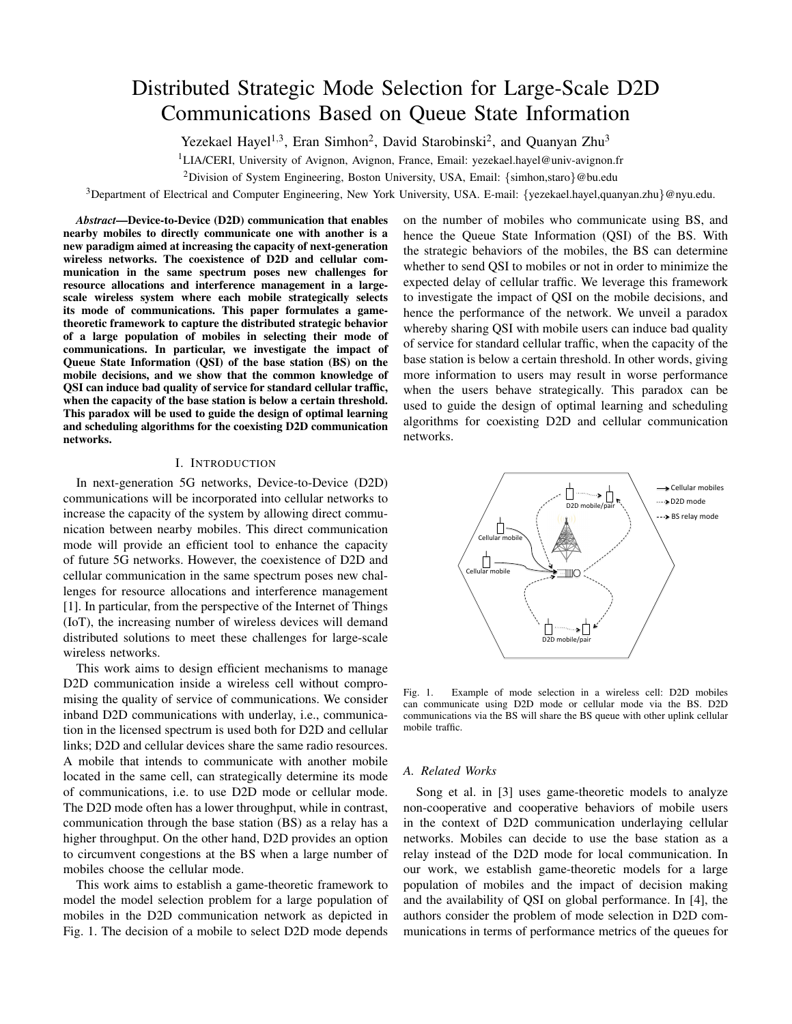# Distributed Strategic Mode Selection for Large-Scale D2D Communications Based on Queue State Information

Yezekael Hayel<sup>1,3</sup>, Eran Simhon<sup>2</sup>, David Starobinski<sup>2</sup>, and Quanyan Zhu<sup>3</sup>

<sup>1</sup>LIA/CERI, University of Avignon, Avignon, France, Email: yezekael.hayel@univ-avignon.fr

<sup>2</sup>Division of System Engineering, Boston University, USA, Email: {simhon, staro}@bu.edu

 $3$ Department of Electrical and Computer Engineering, New York University, USA. E-mail: {yezekael.hayel,quanyan.zhu}@nyu.edu.

*Abstract*—Device-to-Device (D2D) communication that enables nearby mobiles to directly communicate one with another is a new paradigm aimed at increasing the capacity of next-generation wireless networks. The coexistence of D2D and cellular communication in the same spectrum poses new challenges for resource allocations and interference management in a largescale wireless system where each mobile strategically selects its mode of communications. This paper formulates a gametheoretic framework to capture the distributed strategic behavior of a large population of mobiles in selecting their mode of communications. In particular, we investigate the impact of Queue State Information (QSI) of the base station (BS) on the mobile decisions, and we show that the common knowledge of QSI can induce bad quality of service for standard cellular traffic, when the capacity of the base station is below a certain threshold. This paradox will be used to guide the design of optimal learning and scheduling algorithms for the coexisting D2D communication networks.

## I. INTRODUCTION

In next-generation 5G networks, Device-to-Device (D2D) communications will be incorporated into cellular networks to increase the capacity of the system by allowing direct communication between nearby mobiles. This direct communication mode will provide an efficient tool to enhance the capacity of future 5G networks. However, the coexistence of D2D and cellular communication in the same spectrum poses new challenges for resource allocations and interference management [1]. In particular, from the perspective of the Internet of Things (IoT), the increasing number of wireless devices will demand distributed solutions to meet these challenges for large-scale wireless networks.

This work aims to design efficient mechanisms to manage D2D communication inside a wireless cell without compromising the quality of service of communications. We consider inband D2D communications with underlay, i.e., communication in the licensed spectrum is used both for D2D and cellular links; D2D and cellular devices share the same radio resources. A mobile that intends to communicate with another mobile located in the same cell, can strategically determine its mode of communications, i.e. to use D2D mode or cellular mode. The D2D mode often has a lower throughput, while in contrast, communication through the base station (BS) as a relay has a higher throughput. On the other hand, D2D provides an option to circumvent congestions at the BS when a large number of mobiles choose the cellular mode.

This work aims to establish a game-theoretic framework to model the model selection problem for a large population of mobiles in the D2D communication network as depicted in Fig. 1. The decision of a mobile to select D2D mode depends on the number of mobiles who communicate using BS, and hence the Queue State Information (QSI) of the BS. With the strategic behaviors of the mobiles, the BS can determine whether to send QSI to mobiles or not in order to minimize the expected delay of cellular traffic. We leverage this framework to investigate the impact of QSI on the mobile decisions, and hence the performance of the network. We unveil a paradox whereby sharing QSI with mobile users can induce bad quality of service for standard cellular traffic, when the capacity of the base station is below a certain threshold. In other words, giving more information to users may result in worse performance when the users behave strategically. This paradox can be used to guide the design of optimal learning and scheduling algorithms for coexisting D2D and cellular communication networks.



Fig. 1. Example of mode selection in a wireless cell: D2D mobiles can communicate using D2D mode or cellular mode via the BS. D2D communications via the BS will share the BS queue with other uplink cellular mobile traffic.

#### *A. Related Works*

Song et al. in [3] uses game-theoretic models to analyze non-cooperative and cooperative behaviors of mobile users in the context of D2D communication underlaying cellular networks. Mobiles can decide to use the base station as a relay instead of the D2D mode for local communication. In our work, we establish game-theoretic models for a large population of mobiles and the impact of decision making and the availability of QSI on global performance. In [4], the authors consider the problem of mode selection in D2D communications in terms of performance metrics of the queues for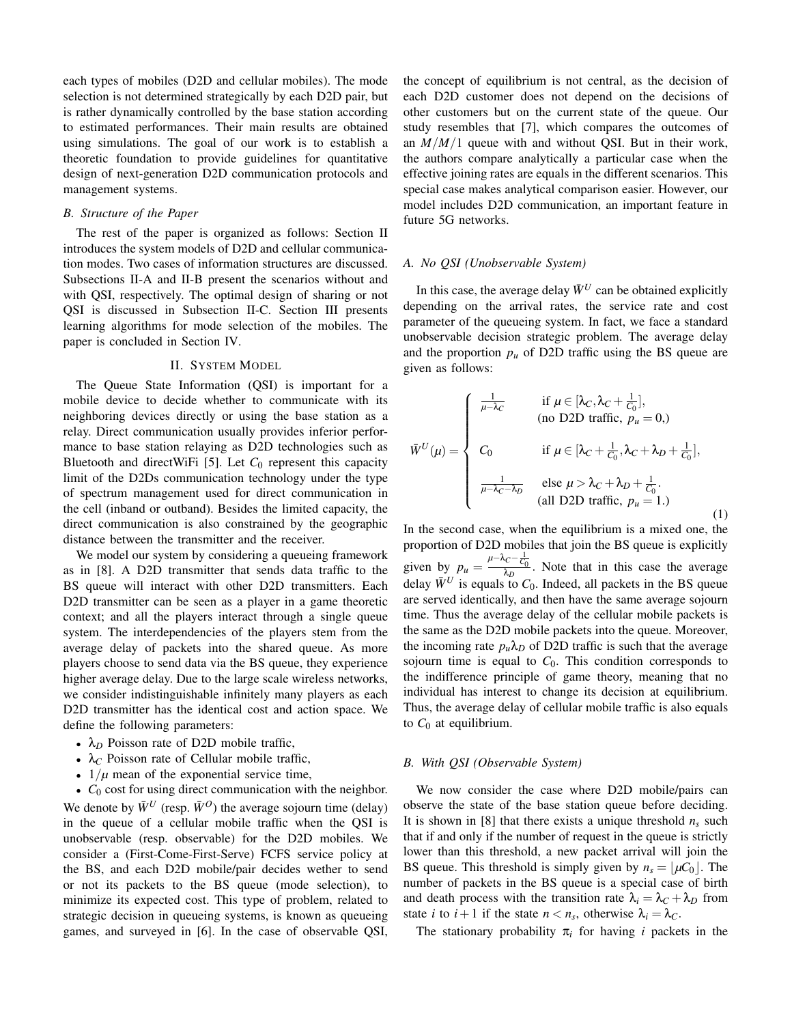each types of mobiles (D2D and cellular mobiles). The mode selection is not determined strategically by each D2D pair, but is rather dynamically controlled by the base station according to estimated performances. Their main results are obtained using simulations. The goal of our work is to establish a theoretic foundation to provide guidelines for quantitative design of next-generation D2D communication protocols and management systems.

## *B. Structure of the Paper*

The rest of the paper is organized as follows: Section II introduces the system models of D2D and cellular communication modes. Two cases of information structures are discussed. Subsections II-A and II-B present the scenarios without and with QSI, respectively. The optimal design of sharing or not QSI is discussed in Subsection II-C. Section III presents learning algorithms for mode selection of the mobiles. The paper is concluded in Section IV.

## II. SYSTEM MODEL

The Queue State Information (QSI) is important for a mobile device to decide whether to communicate with its neighboring devices directly or using the base station as a relay. Direct communication usually provides inferior performance to base station relaying as D2D technologies such as Bluetooth and directWiFi [5]. Let  $C_0$  represent this capacity limit of the D2Ds communication technology under the type of spectrum management used for direct communication in the cell (inband or outband). Besides the limited capacity, the direct communication is also constrained by the geographic distance between the transmitter and the receiver.

We model our system by considering a queueing framework as in [8]. A D2D transmitter that sends data traffic to the BS queue will interact with other D2D transmitters. Each D2D transmitter can be seen as a player in a game theoretic context; and all the players interact through a single queue system. The interdependencies of the players stem from the average delay of packets into the shared queue. As more players choose to send data via the BS queue, they experience higher average delay. Due to the large scale wireless networks, we consider indistinguishable infinitely many players as each D2D transmitter has the identical cost and action space. We define the following parameters:

- $\lambda_D$  Poisson rate of D2D mobile traffic,
- $\lambda_C$  Poisson rate of Cellular mobile traffic,
- $1/\mu$  mean of the exponential service time,

• *C*<sub>0</sub> cost for using direct communication with the neighbor. We denote by  $\bar{W}^U$  (resp.  $\bar{W}^O$ ) the average sojourn time (delay) in the queue of a cellular mobile traffic when the QSI is unobservable (resp. observable) for the D2D mobiles. We consider a (First-Come-First-Serve) FCFS service policy at the BS, and each D2D mobile/pair decides wether to send or not its packets to the BS queue (mode selection), to minimize its expected cost. This type of problem, related to strategic decision in queueing systems, is known as queueing games, and surveyed in [6]. In the case of observable QSI, the concept of equilibrium is not central, as the decision of each D2D customer does not depend on the decisions of other customers but on the current state of the queue. Our study resembles that [7], which compares the outcomes of an *M*/*M*/1 queue with and without QSI. But in their work, the authors compare analytically a particular case when the effective joining rates are equals in the different scenarios. This special case makes analytical comparison easier. However, our model includes D2D communication, an important feature in future 5G networks.

## *A. No QSI (Unobservable System)*

In this case, the average delay  $\bar{W}^U$  can be obtained explicitly depending on the arrival rates, the service rate and cost parameter of the queueing system. In fact, we face a standard unobservable decision strategic problem. The average delay and the proportion  $p_u$  of D2D traffic using the BS queue are given as follows:

$$
\overline{W}^{U}(\mu) = \begin{cases}\n\frac{1}{\mu - \lambda_{C}} & \text{if } \mu \in [\lambda_{C}, \lambda_{C} + \frac{1}{C_{0}}], \\
\text{(no D2D traffic, } p_{u} = 0, )\n\end{cases}
$$
\n
$$
\overline{W}^{U}(\mu) = \begin{cases}\nC_{0} & \text{if } \mu \in [\lambda_{C} + \frac{1}{C_{0}}, \lambda_{C} + \lambda_{D} + \frac{1}{C_{0}}], \\
\frac{1}{\mu - \lambda_{C} - \lambda_{D}} & \text{else } \mu > \lambda_{C} + \lambda_{D} + \frac{1}{C_{0}}.\n\end{cases}
$$
\n(all D2D traffic,  $p_{u} = 1$ .)\n(1)

In the second case, when the equilibrium is a mixed one, the proportion of D2D mobiles that join the BS queue is explicitly given by  $p_u = \frac{\mu - \lambda_C - \frac{1}{C_0}}{\lambda_D}$ . Note that in this case the average delay  $\bar{W}^U$  is equals to  $C_0$ . Indeed, all packets in the BS queue are served identically, and then have the same average sojourn time. Thus the average delay of the cellular mobile packets is the same as the D2D mobile packets into the queue. Moreover, the incoming rate  $p_u \lambda_D$  of D2D traffic is such that the average sojourn time is equal to  $C_0$ . This condition corresponds to the indifference principle of game theory, meaning that no individual has interest to change its decision at equilibrium. Thus, the average delay of cellular mobile traffic is also equals to  $C_0$  at equilibrium.

#### *B. With QSI (Observable System)*

We now consider the case where D2D mobile/pairs can observe the state of the base station queue before deciding. It is shown in [8] that there exists a unique threshold  $n<sub>s</sub>$  such that if and only if the number of request in the queue is strictly lower than this threshold, a new packet arrival will join the BS queue. This threshold is simply given by  $n_s = |\mu C_0|$ . The number of packets in the BS queue is a special case of birth and death process with the transition rate  $\lambda_i = \lambda_c + \lambda_D$  from state *i* to  $i + 1$  if the state  $n < n_s$ , otherwise  $\lambda_i = \lambda_c$ .

The stationary probability  $\pi_i$  for having *i* packets in the